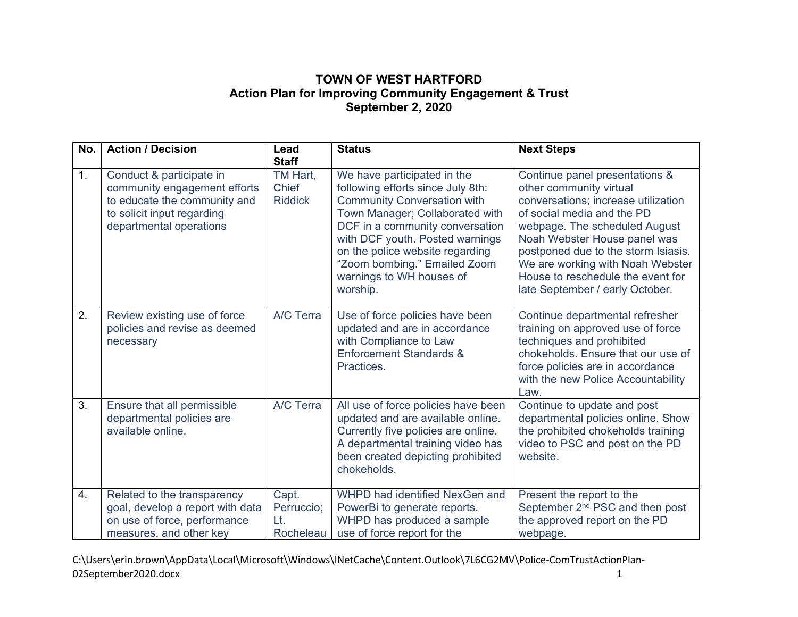## **TOWN OF WEST HARTFORD Action Plan for Improving Community Engagement & Trust September 2, 2020**

| No.              | <b>Action / Decision</b>                                                                                                                          | Lead<br><b>Staff</b>                       | <b>Status</b>                                                                                                                                                                                                                                                                                                              | <b>Next Steps</b>                                                                                                                                                                                                                                                                                                                                  |
|------------------|---------------------------------------------------------------------------------------------------------------------------------------------------|--------------------------------------------|----------------------------------------------------------------------------------------------------------------------------------------------------------------------------------------------------------------------------------------------------------------------------------------------------------------------------|----------------------------------------------------------------------------------------------------------------------------------------------------------------------------------------------------------------------------------------------------------------------------------------------------------------------------------------------------|
| 1.               | Conduct & participate in<br>community engagement efforts<br>to educate the community and<br>to solicit input regarding<br>departmental operations | TM Hart,<br><b>Chief</b><br><b>Riddick</b> | We have participated in the<br>following efforts since July 8th:<br><b>Community Conversation with</b><br>Town Manager; Collaborated with<br>DCF in a community conversation<br>with DCF youth. Posted warnings<br>on the police website regarding<br>"Zoom bombing." Emailed Zoom<br>warnings to WH houses of<br>worship. | Continue panel presentations &<br>other community virtual<br>conversations; increase utilization<br>of social media and the PD<br>webpage. The scheduled August<br>Noah Webster House panel was<br>postponed due to the storm Isiasis.<br>We are working with Noah Webster<br>House to reschedule the event for<br>late September / early October. |
| 2.               | Review existing use of force<br>policies and revise as deemed<br>necessary                                                                        | A/C Terra                                  | Use of force policies have been<br>updated and are in accordance<br>with Compliance to Law<br><b>Enforcement Standards &amp;</b><br>Practices.                                                                                                                                                                             | Continue departmental refresher<br>training on approved use of force<br>techniques and prohibited<br>chokeholds. Ensure that our use of<br>force policies are in accordance<br>with the new Police Accountability<br>Law.                                                                                                                          |
| 3.               | Ensure that all permissible<br>departmental policies are<br>available online.                                                                     | A/C Terra                                  | All use of force policies have been<br>updated and are available online.<br>Currently five policies are online.<br>A departmental training video has<br>been created depicting prohibited<br>chokeholds.                                                                                                                   | Continue to update and post<br>departmental policies online. Show<br>the prohibited chokeholds training<br>video to PSC and post on the PD<br>website.                                                                                                                                                                                             |
| $\overline{4}$ . | Related to the transparency<br>goal, develop a report with data<br>on use of force, performance<br>measures, and other key                        | Capt.<br>Perruccio;<br>Lt.<br>Rocheleau    | WHPD had identified NexGen and<br>PowerBi to generate reports.<br>WHPD has produced a sample<br>use of force report for the                                                                                                                                                                                                | Present the report to the<br>September 2 <sup>nd</sup> PSC and then post<br>the approved report on the PD<br>webpage.                                                                                                                                                                                                                              |

C:\Users\erin.brown\AppData\Local\Microsoft\Windows\INetCache\Content.Outlook\7L6CG2MV\Police‐ComTrustActionPlan‐ 02September2020.docx 1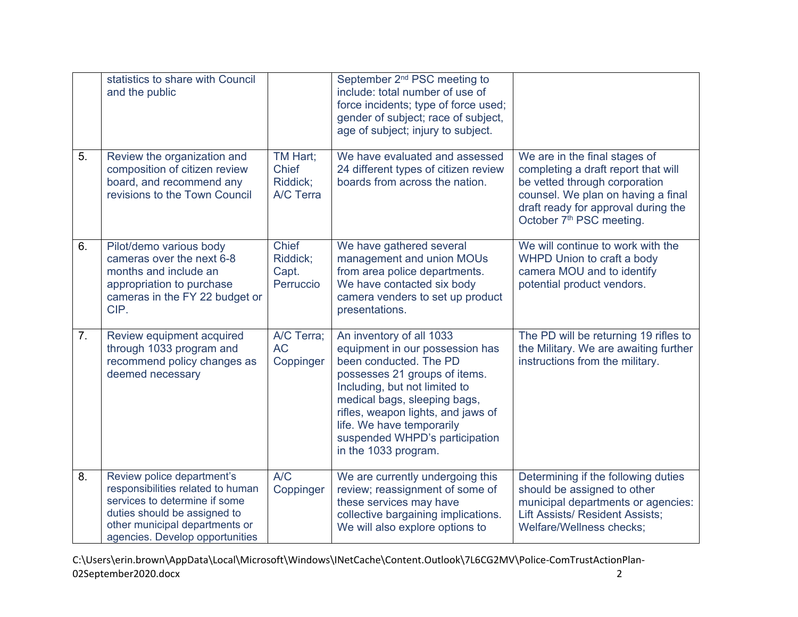|    | statistics to share with Council<br>and the public                                                                                                                                                    |                                                   | September 2 <sup>nd</sup> PSC meeting to<br>include: total number of use of<br>force incidents; type of force used;<br>gender of subject; race of subject,<br>age of subject; injury to subject.                                                                                                                     |                                                                                                                                                                                                                            |
|----|-------------------------------------------------------------------------------------------------------------------------------------------------------------------------------------------------------|---------------------------------------------------|----------------------------------------------------------------------------------------------------------------------------------------------------------------------------------------------------------------------------------------------------------------------------------------------------------------------|----------------------------------------------------------------------------------------------------------------------------------------------------------------------------------------------------------------------------|
| 5. | Review the organization and<br>composition of citizen review<br>board, and recommend any<br>revisions to the Town Council                                                                             | TM Hart;<br><b>Chief</b><br>Riddick;<br>A/C Terra | We have evaluated and assessed<br>24 different types of citizen review<br>boards from across the nation.                                                                                                                                                                                                             | We are in the final stages of<br>completing a draft report that will<br>be vetted through corporation<br>counsel. We plan on having a final<br>draft ready for approval during the<br>October 7 <sup>th</sup> PSC meeting. |
| 6. | Pilot/demo various body<br>cameras over the next 6-8<br>months and include an<br>appropriation to purchase<br>cameras in the FY 22 budget or<br>CIP.                                                  | <b>Chief</b><br>Riddick;<br>Capt.<br>Perruccio    | We have gathered several<br>management and union MOUs<br>from area police departments.<br>We have contacted six body<br>camera venders to set up product<br>presentations.                                                                                                                                           | We will continue to work with the<br>WHPD Union to craft a body<br>camera MOU and to identify<br>potential product vendors.                                                                                                |
| 7. | Review equipment acquired<br>through 1033 program and<br>recommend policy changes as<br>deemed necessary                                                                                              | A/C Terra;<br><b>AC</b><br>Coppinger              | An inventory of all 1033<br>equipment in our possession has<br>been conducted. The PD<br>possesses 21 groups of items.<br>Including, but not limited to<br>medical bags, sleeping bags,<br>rifles, weapon lights, and jaws of<br>life. We have temporarily<br>suspended WHPD's participation<br>in the 1033 program. | The PD will be returning 19 rifles to<br>the Military. We are awaiting further<br>instructions from the military.                                                                                                          |
| 8. | Review police department's<br>responsibilities related to human<br>services to determine if some<br>duties should be assigned to<br>other municipal departments or<br>agencies. Develop opportunities | A/C<br>Coppinger                                  | We are currently undergoing this<br>review; reassignment of some of<br>these services may have<br>collective bargaining implications.<br>We will also explore options to                                                                                                                                             | Determining if the following duties<br>should be assigned to other<br>municipal departments or agencies:<br><b>Lift Assists/ Resident Assists;</b><br>Welfare/Wellness checks;                                             |

C:\Users\erin.brown\AppData\Local\Microsoft\Windows\INetCache\Content.Outlook\7L6CG2MV\Police‐ComTrustActionPlan‐ 02September2020.docx 2